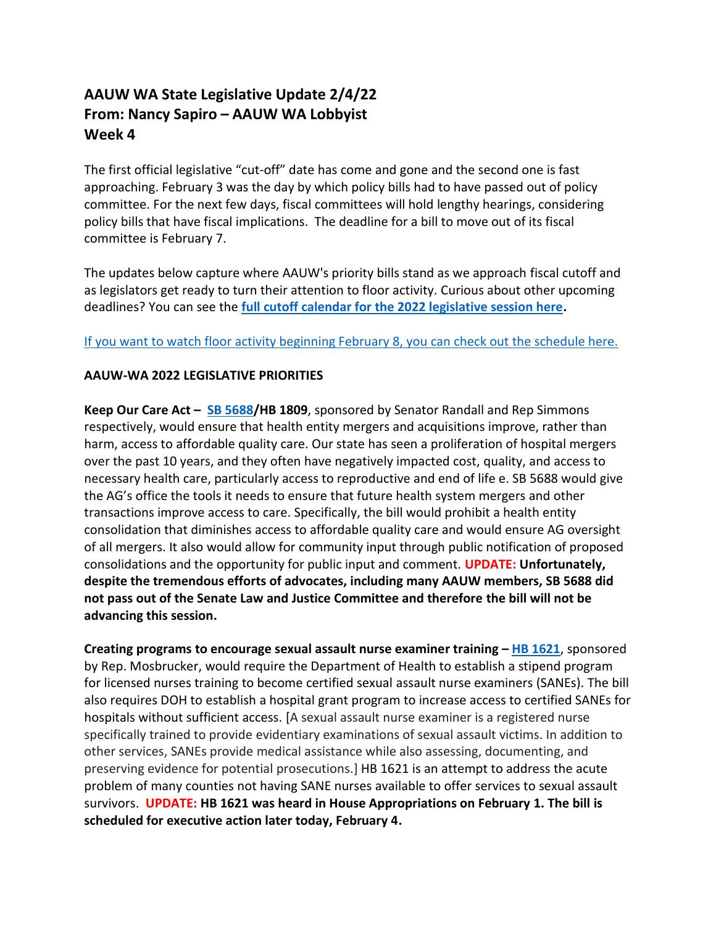## **AAUW WA State Legislative Update 2/4/22 From: Nancy Sapiro – AAUW WA Lobbyist Week 4**

The first official legislative "cut-off" date has come and gone and the second one is fast approaching. February 3 was the day by which policy bills had to have passed out of policy committee. For the next few days, fiscal committees will hold lengthy hearings, considering policy bills that have fiscal implications. The deadline for a bill to move out of its fiscal committee is February 7.

The updates below capture where AAUW's priority bills stand as we approach fiscal cutoff and as legislators get ready to turn their attention to floor activity. Curious about other upcoming deadlines? You can see the **[full cutoff calendar for the 2022 legislative session here.](http://leg.wa.gov/legislature/Pages/cutoff.aspx)**

## [If you want to watch floor activity beginning February 8, you can check out the schedule here.](https://tvw.org/schedule/)

## **AAUW-WA 2022 LEGISLATIVE PRIORITIES**

**Keep Our Care Act – [SB 5688/](https://app.leg.wa.gov/billsummary?BillNumber=5688&Chamber=Senate&Year=2021)HB 1809**, sponsored by Senator Randall and Rep Simmons respectively, would ensure that health entity mergers and acquisitions improve, rather than harm, access to affordable quality care. Our state has seen a proliferation of hospital mergers over the past 10 years, and they often have negatively impacted cost, quality, and access to necessary health care, particularly access to reproductive and end of life e. SB 5688 would give the AG's office the tools it needs to ensure that future health system mergers and other transactions improve access to care. Specifically, the bill would prohibit a health entity consolidation that diminishes access to affordable quality care and would ensure AG oversight of all mergers. It also would allow for community input through public notification of proposed consolidations and the opportunity for public input and comment. **UPDATE: Unfortunately, despite the tremendous efforts of advocates, including many AAUW members, SB 5688 did not pass out of the Senate Law and Justice Committee and therefore the bill will not be advancing this session.**

**Creating programs to encourage sexual assault nurse examiner training – [HB 1621](https://app.leg.wa.gov/billsummary?BillNumber=1621&Year=2021&Initiative=false)**, sponsored by Rep. Mosbrucker, would require the Department of Health to establish a stipend program for licensed nurses training to become certified sexual assault nurse examiners (SANEs). The bill also requires DOH to establish a hospital grant program to increase access to certified SANEs for hospitals without sufficient access. [A sexual assault nurse examiner is a registered nurse specifically trained to provide evidentiary examinations of sexual assault victims. In addition to other services, SANEs provide medical assistance while also assessing, documenting, and preserving evidence for potential prosecutions.] HB 1621 is an attempt to address the acute problem of many counties not having SANE nurses available to offer services to sexual assault survivors. **UPDATE: HB 1621 was heard in House Appropriations on February 1. The bill is scheduled for executive action later today, February 4.**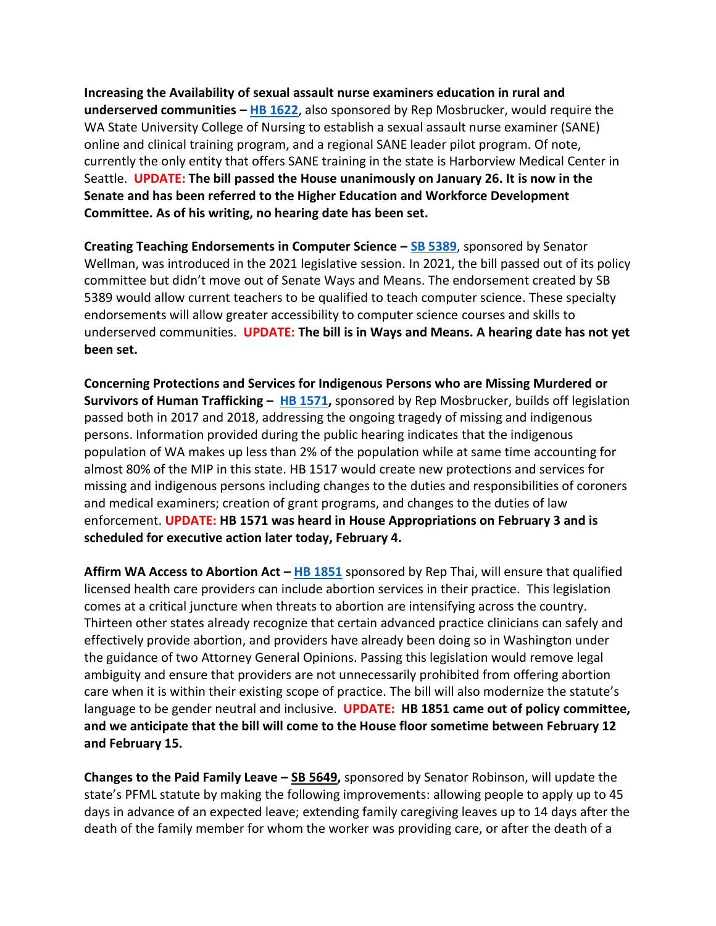**Increasing the Availability of sexual assault nurse examiners education in rural and underserved communities – [HB 1622](https://app.leg.wa.gov/billsummary?BillNumber=1622&Initiative=false&Year=2021)**, also sponsored by Rep Mosbrucker, would require the WA State University College of Nursing to establish a sexual assault nurse examiner (SANE) online and clinical training program, and a regional SANE leader pilot program. Of note, currently the only entity that offers SANE training in the state is Harborview Medical Center in Seattle. **UPDATE: The bill passed the House unanimously on January 26. It is now in the Senate and has been referred to the Higher Education and Workforce Development Committee. As of his writing, no hearing date has been set.** 

**Creating Teaching Endorsements in Computer Science – [SB 5389](https://app.leg.wa.gov/billsummary?BillNumber=5389&Year=2021&Initiative=false)**, sponsored by Senator Wellman, was introduced in the 2021 legislative session. In 2021, the bill passed out of its policy committee but didn't move out of Senate Ways and Means. The endorsement created by SB 5389 would allow current teachers to be qualified to teach computer science. These specialty endorsements will allow greater accessibility to computer science courses and skills to underserved communities. **UPDATE: The bill is in Ways and Means. A hearing date has not yet been set.** 

**Concerning Protections and Services for Indigenous Persons who are Missing Murdered or Survivors of Human Trafficking – [HB 1571,](https://app.leg.wa.gov/billsummary?BillNumber=1571&Year=2021&Initiative=false)** sponsored by Rep Mosbrucker, builds off legislation passed both in 2017 and 2018, addressing the ongoing tragedy of missing and indigenous persons. Information provided during the public hearing indicates that the indigenous population of WA makes up less than 2% of the population while at same time accounting for almost 80% of the MIP in this state. HB 1517 would create new protections and services for missing and indigenous persons including changes to the duties and responsibilities of coroners and medical examiners; creation of grant programs, and changes to the duties of law enforcement. **UPDATE: HB 1571 was heard in House Appropriations on February 3 and is scheduled for executive action later today, February 4.**

**Affirm WA Access to Abortion Act – [HB 1851](https://app.leg.wa.gov/billsummary?BillNumber=1851&Initiative=false&Year=2021)** sponsored by Rep Thai, will ensure that qualified licensed health care providers can include abortion services in their practice. This legislation comes at a critical juncture when threats to abortion are intensifying across the country. Thirteen other states already recognize that certain advanced practice clinicians can safely and effectively provide abortion, and providers have already been doing so in Washington under the guidance of two Attorney General Opinions. Passing this legislation would remove legal ambiguity and ensure that providers are not unnecessarily prohibited from offering abortion care when it is within their existing scope of practice. The bill will also modernize the statute's language to be gender neutral and inclusive. **UPDATE: HB 1851 came out of policy committee, and we anticipate that the bill will come to the House floor sometime between February 12 and February 15.**

**Changes to the Paid Family Leave – [SB 5649,](https://app.leg.wa.gov/billsummary?BillNumber=5649&Year=2021&Initiative=false)** sponsored by Senator Robinson, will update the state's PFML statute by making the following improvements: allowing people to apply up to 45 days in advance of an expected leave; extending family caregiving leaves up to 14 days after the death of the family member for whom the worker was providing care, or after the death of a